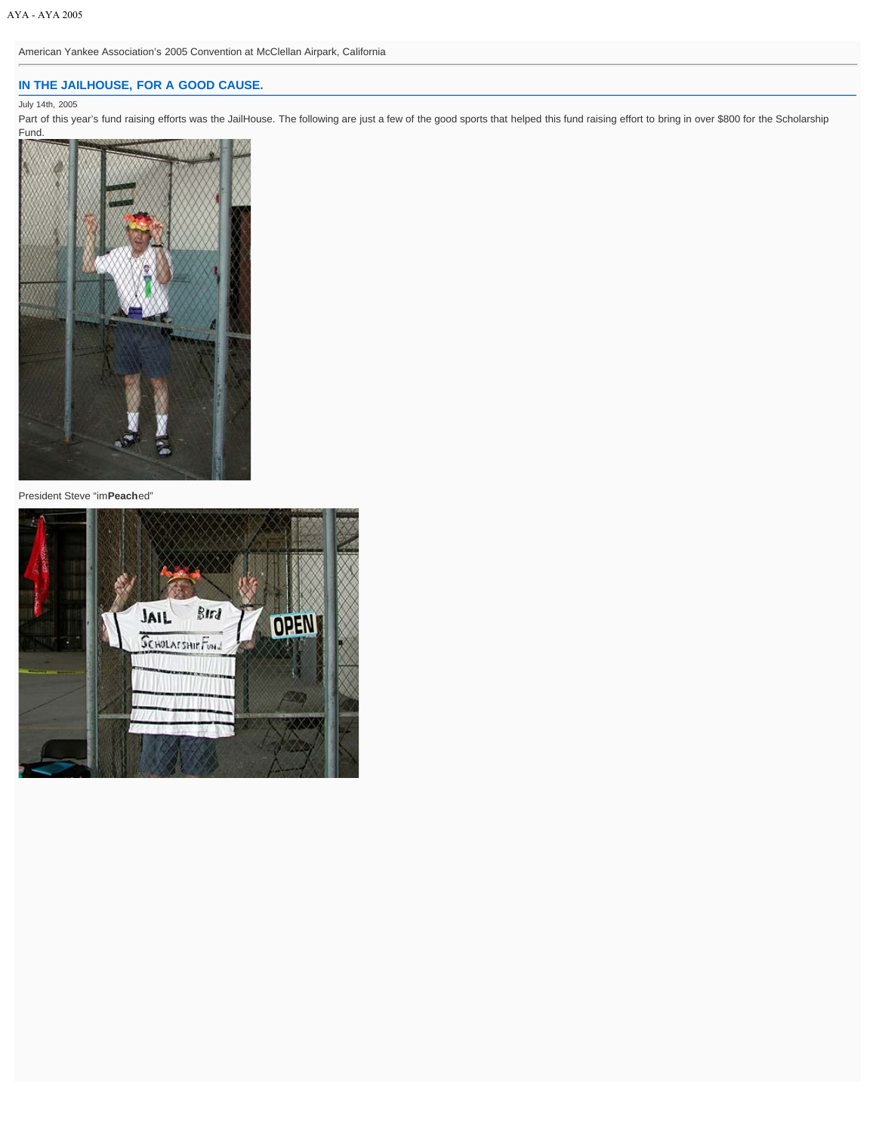American Yankee Association's 2005 Convention at McClellan Airpark, California

# **[IN THE JAILHOUSE, FOR A GOOD CAUSE.](http://clubhouse.aya.org/aya2005/dailycoverage/index.php/20050714/in-the-jailhouse-for-a-good-cause/)**

## July 14th, 2005

Part of this year's fund raising efforts was the JailHouse. The following are just a few of the good sports that helped this fund raising effort to bring in over \$800 for the Scholarship Fund.



President Steve "im**Peach**ed"

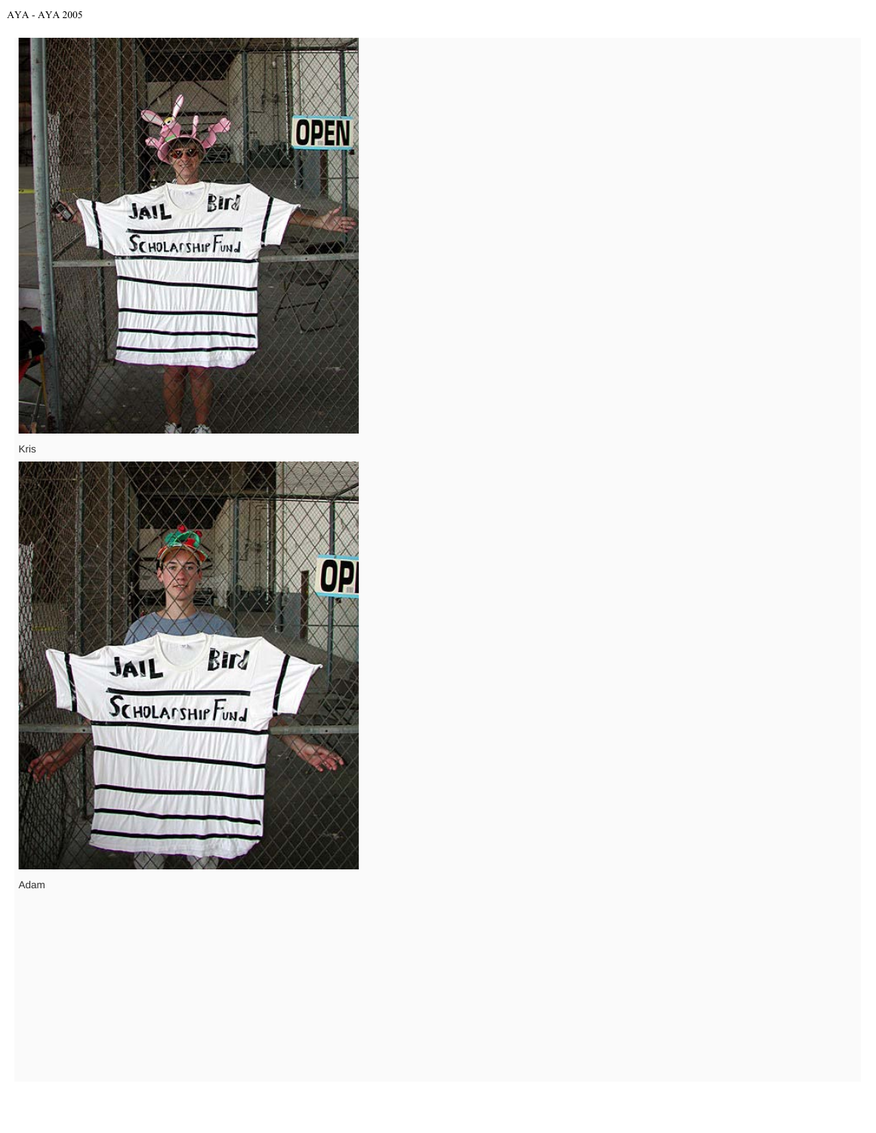

Kris



Adam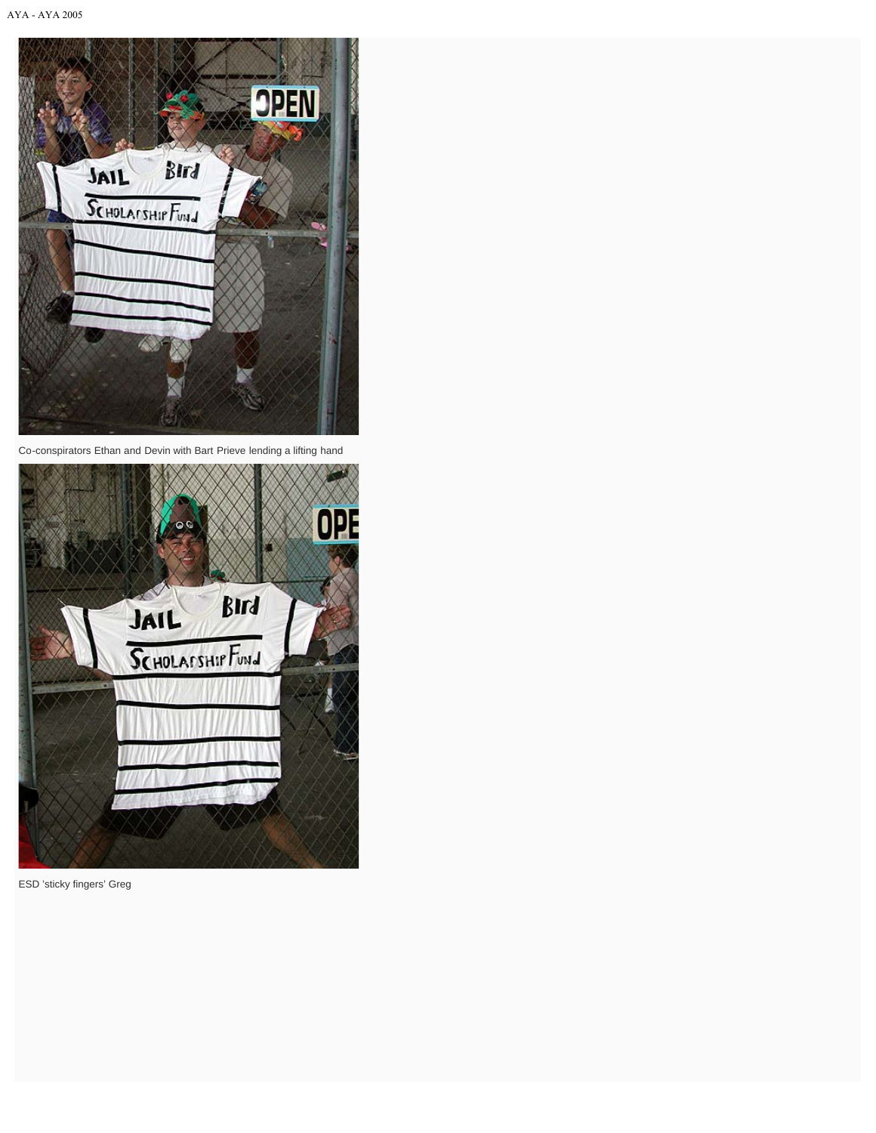

Co-conspirators Ethan and Devin with Bart Prieve lending a lifting hand



ESD 'sticky fingers' Greg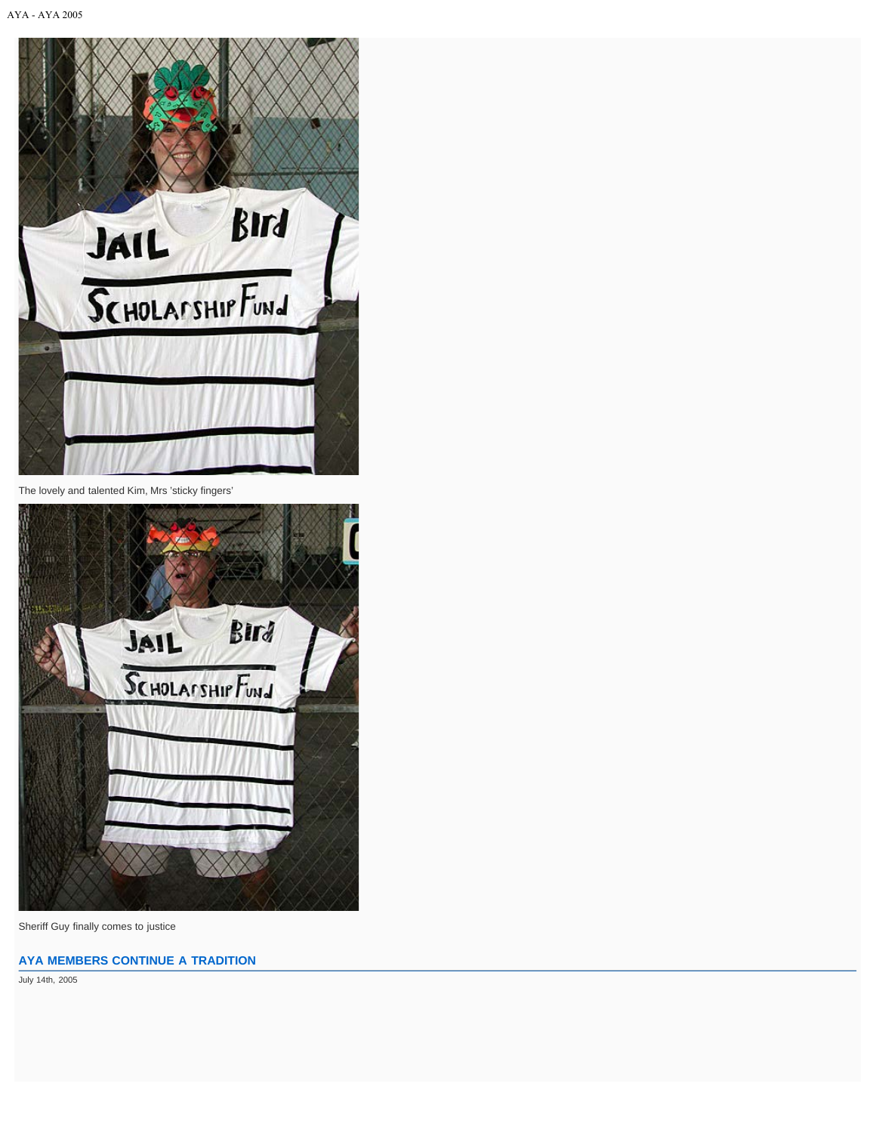

The lovely and talented Kim, Mrs 'sticky fingers'



Sheriff Guy finally comes to justice

## **[AYA MEMBERS CONTINUE A TRADITION](http://clubhouse.aya.org/aya2005/dailycoverage/index.php/20050714/aya-members-continue-a-tradition/)**

July 14th, 2005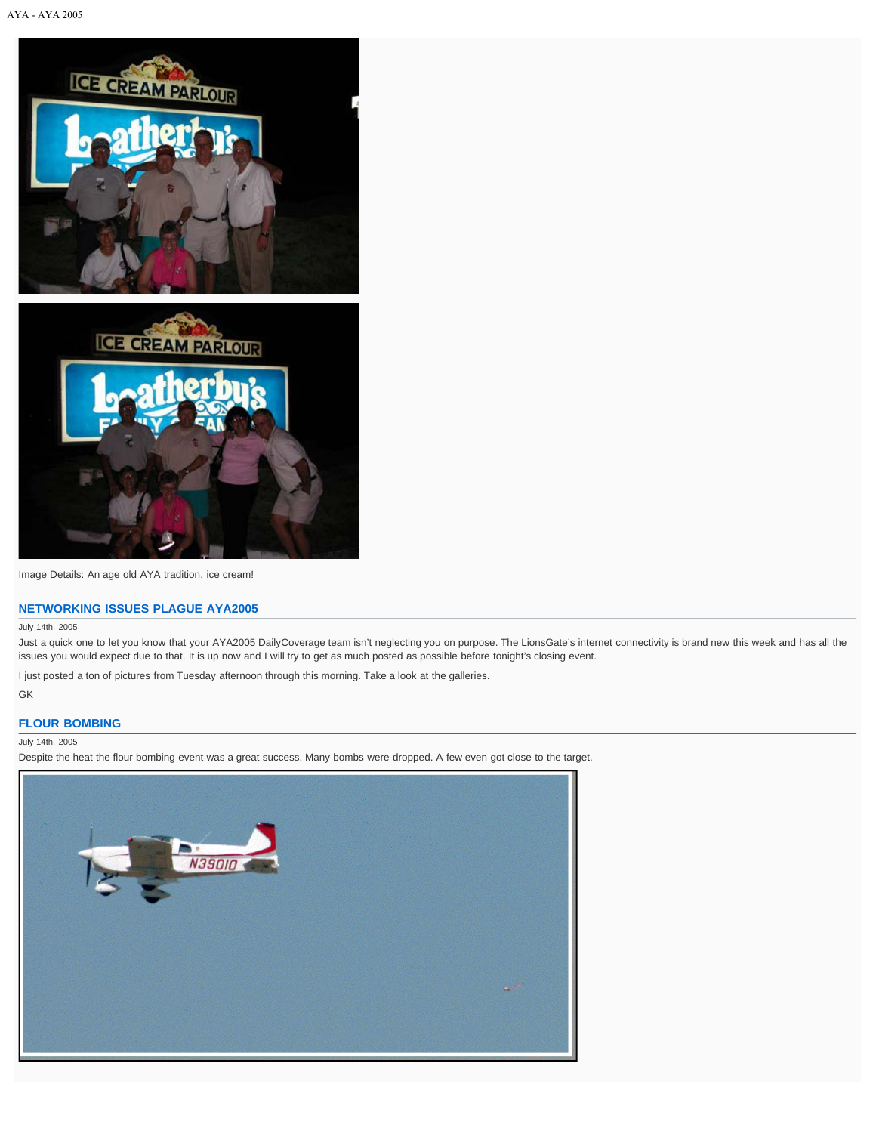

Image Details: An age old AYA tradition, ice cream!

### **[NETWORKING ISSUES PLAGUE AYA2005](http://clubhouse.aya.org/aya2005/dailycoverage/index.php/20050714/networking-issues-plague-aya2005/)**

#### July 14th, 2005

Just a quick one to let you know that your AYA2005 DailyCoverage team isn't neglecting you on purpose. The LionsGate's internet connectivity is brand new this week and has all the issues you would expect due to that. It is up now and I will try to get as much posted as possible before tonight's closing event.

I just posted a ton of pictures from Tuesday afternoon through this morning. Take a look at the galleries.

GK

## **[FLOUR BOMBING](http://clubhouse.aya.org/aya2005/dailycoverage/index.php/20050714/flour-bombing/)**

### July 14th, 2005

Despite the heat the flour bombing event was a great success. Many bombs were dropped. A few even got close to the target.

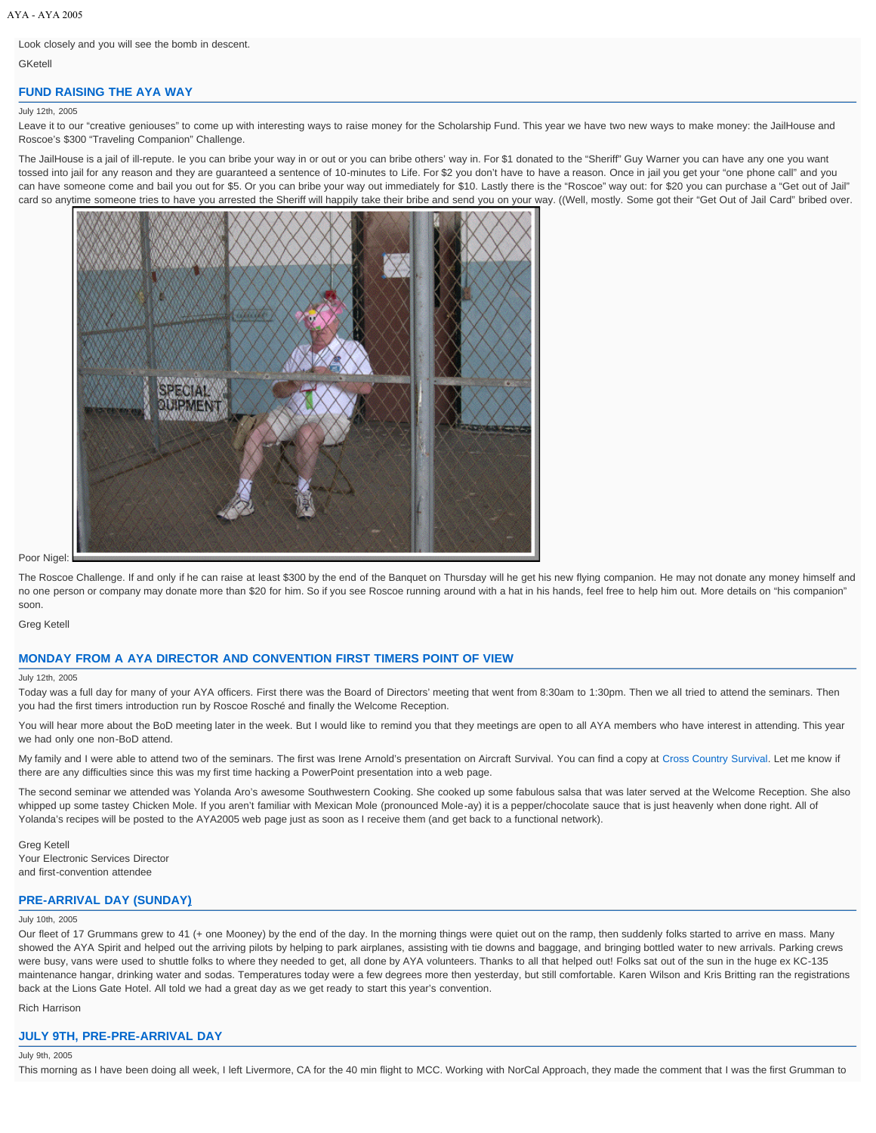## Look closely and you will see the bomb in descent.

GKetell

## **[FUND RAISING THE AYA WAY](http://clubhouse.aya.org/aya2005/dailycoverage/index.php/20050712/fund-raising-the-aya-way/)**

#### July 12th, 2005

Leave it to our "creative geniouses" to come up with interesting ways to raise money for the Scholarship Fund. This year we have two new ways to make money: the JailHouse and Roscoe's \$300 "Traveling Companion" Challenge.

The JailHouse is a jail of ill-repute. Ie you can bribe your way in or out or you can bribe others' way in. For \$1 donated to the "Sheriff" Guy Warner you can have any one you want tossed into jail for any reason and they are guaranteed a sentence of 10-minutes to Life. For \$2 you don't have to have a reason. Once in jail you get your "one phone call" and you can have someone come and bail you out for \$5. Or you can bribe your way out immediately for \$10. Lastly there is the "Roscoe" way out: for \$20 you can purchase a "Get out of Jail" card so anytime someone tries to have you arrested the Sheriff will happily take their bribe and send you on your way. ((Well, mostly. Some got their "Get Out of Jail Card" bribed over.



Poor Nigel:

The Roscoe Challenge. If and only if he can raise at least \$300 by the end of the Banquet on Thursday will he get his new flying companion. He may not donate any money himself and no one person or company may donate more than \$20 for him. So if you see Roscoe running around with a hat in his hands, feel free to help him out. More details on "his companion" soon.

Greg Ketell

### **[MONDAY FROM A AYA DIRECTOR AND CONVENTION FIRST TIMERS POINT OF VIEW](http://clubhouse.aya.org/aya2005/dailycoverage/index.php/20050712/monday-from-a-aya-director-and-convention-first-timers-point-of-view/)**

#### July 12th, 2005

Today was a full day for many of your AYA officers. First there was the Board of Directors' meeting that went from 8:30am to 1:30pm. Then we all tried to attend the seminars. Then you had the first timers introduction run by Roscoe Rosché and finally the Welcome Reception.

You will hear more about the BoD meeting later in the week. But I would like to remind you that they meetings are open to all AYA members who have interest in attending. This year we had only one non-BoD attend.

My family and I were able to attend two of the seminars. The first was Irene Arnold's presentation on Aircraft Survival. You can find a copy at [Cross Country Survival.](http://clubhouse.aya.org/aya2005/x-country-survival/) Let me know if there are any difficulties since this was my first time hacking a PowerPoint presentation into a web page.

The second seminar we attended was Yolanda Aro's awesome Southwestern Cooking. She cooked up some fabulous salsa that was later served at the Welcome Reception. She also whipped up some tastey Chicken Mole. If you aren't familiar with Mexican Mole (pronounced Mole-ay) it is a pepper/chocolate sauce that is just heavenly when done right. All of Yolanda's recipes will be posted to the AYA2005 web page just as soon as I receive them (and get back to a functional network).

Greg Ketell Your Electronic Services Director and first-convention attendee

## **[PRE-ARRIVAL DAY \(SUNDAY\)](http://clubhouse.aya.org/aya2005/dailycoverage/index.php/20050710/pre-arrival-day-sunday/)**

#### July 10th, 2005

Our fleet of 17 Grummans grew to 41 (+ one Mooney) by the end of the day. In the morning things were quiet out on the ramp, then suddenly folks started to arrive en mass. Many showed the AYA Spirit and helped out the arriving pilots by helping to park airplanes, assisting with tie downs and baggage, and bringing bottled water to new arrivals. Parking crews were busy, vans were used to shuttle folks to where they needed to get, all done by AYA volunteers. Thanks to all that helped out! Folks sat out of the sun in the huge ex KC-135 maintenance hangar, drinking water and sodas. Temperatures today were a few degrees more then yesterday, but still comfortable. Karen Wilson and Kris Britting ran the registrations back at the Lions Gate Hotel. All told we had a great day as we get ready to start this year's convention.

Rich Harrison

### **[JULY 9TH, PRE-PRE-ARRIVAL DAY](http://clubhouse.aya.org/aya2005/dailycoverage/index.php/20050709/july-9th-pre-pre-arrival-day/)**

July 9th, 2005

This morning as I have been doing all week, I left Livermore, CA for the 40 min flight to MCC. Working with NorCal Approach, they made the comment that I was the first Grumman to